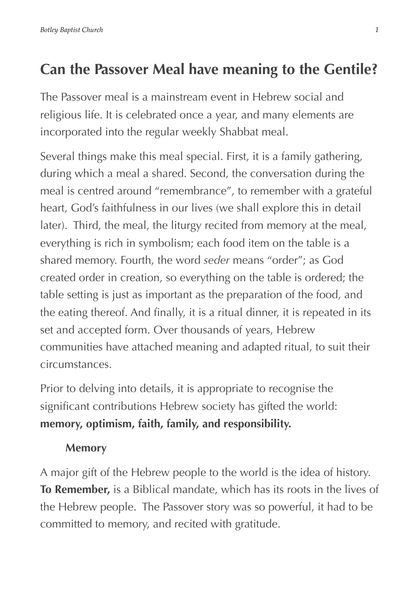## **Can the Passover Meal have meaning to the Gentile?**

The Passover meal is a mainstream event in Hebrew social and religious life. It is celebrated once a year, and many elements are incorporated into the regular weekly Shabbat meal.

Several things make this meal special. First, it is a family gathering, during which a meal a shared. Second, the conversation during the meal is centred around "remembrance", to remember with a grateful heart, God's faithfulness in our lives (we shall explore this in detail later). Third, the meal, the liturgy recited from memory at the meal, everything is rich in symbolism; each food item on the table is a shared memory. Fourth, the word *seder* means "order"; as God created order in creation, so everything on the table is ordered; the table setting is just as important as the preparation of the food, and the eating thereof. And finally, it is a ritual dinner, it is repeated in its set and accepted form. Over thousands of years, Hebrew communities have attached meaning and adapted ritual, to suit their circumstances.

Prior to delving into details, it is appropriate to recognise the significant contributions Hebrew society has gifted the world: **memory, optimism, faith, family, and responsibility.**

#### **Memory**

A major gift of the Hebrew people to the world is the idea of history. **To Remember,** is a Biblical mandate, which has its roots in the lives of the Hebrew people. The Passover story was so powerful, it had to be committed to memory, and recited with gratitude.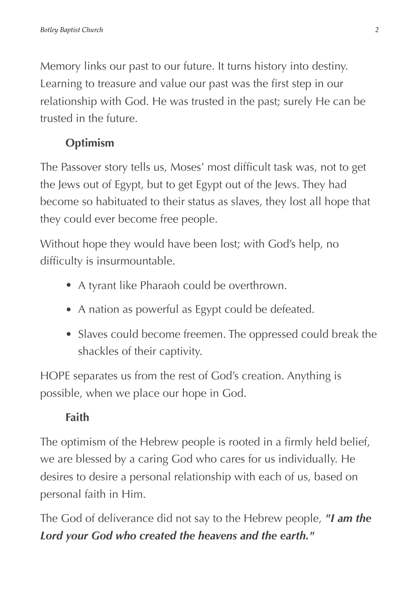Memory links our past to our future. It turns history into destiny. Learning to treasure and value our past was the first step in our relationship with God. He was trusted in the past; surely He can be trusted in the future.

#### **Optimism**

The Passover story tells us, Moses' most difficult task was, not to get the Jews out of Egypt, but to get Egypt out of the Jews. They had become so habituated to their status as slaves, they lost all hope that they could ever become free people.

Without hope they would have been lost; with God's help, no difficulty is insurmountable.

- A tyrant like Pharaoh could be overthrown.
- A nation as powerful as Egypt could be defeated.
- Slaves could become freemen. The oppressed could break the shackles of their captivity.

HOPE separates us from the rest of God's creation. Anything is possible, when we place our hope in God.

### **Faith**

The optimism of the Hebrew people is rooted in a firmly held belief, we are blessed by a caring God who cares for us individually. He desires to desire a personal relationship with each of us, based on personal faith in Him.

The God of deliverance did not say to the Hebrew people, *"I am the Lord your God who created the heavens and the earth."*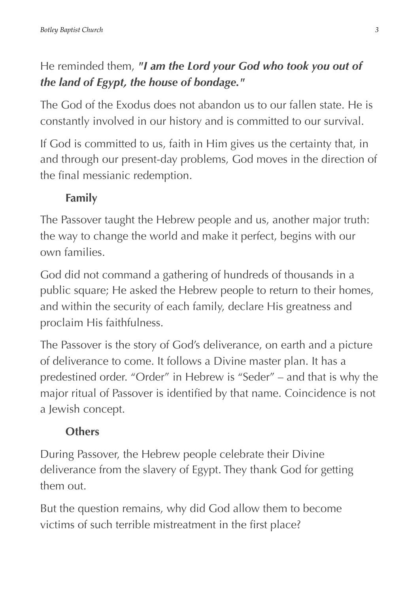## He reminded them, *"I am the Lord your God who took you out of the land of Egypt, the house of bondage."*

The God of the Exodus does not abandon us to our fallen state. He is constantly involved in our history and is committed to our survival.

If God is committed to us, faith in Him gives us the certainty that, in and through our present-day problems, God moves in the direction of the final messianic redemption.

## **Family**

The Passover taught the Hebrew people and us, another major truth: the way to change the world and make it perfect, begins with our own families.

God did not command a gathering of hundreds of thousands in a public square; He asked the Hebrew people to return to their homes, and within the security of each family, declare His greatness and proclaim His faithfulness.

The Passover is the story of God's deliverance, on earth and a picture of deliverance to come. It follows a Divine master plan. It has a predestined order. "Order" in Hebrew is "Seder" – and that is why the major ritual of Passover is identified by that name. Coincidence is not a Jewish concept.

## **Others**

During Passover, the Hebrew people celebrate their Divine deliverance from the slavery of Egypt. They thank God for getting them out.

But the question remains, why did God allow them to become victims of such terrible mistreatment in the first place?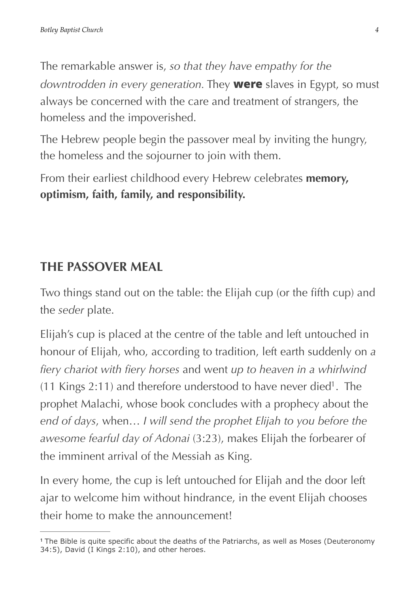The remarkable answer is, *so that they have empathy for the downtrodden in every generation.* They **were** slaves in Egypt, so must always be concerned with the care and treatment of strangers, the homeless and the impoverished.

The Hebrew people begin the passover meal by inviting the hungry, the homeless and the sojourner to join with them.

From their earliest childhood every Hebrew celebrates **memory, optimism, faith, family, and responsibility.**

### **THE PASSOVER MEAL**

Two things stand out on the table: the Elijah cup (or the fifth cup) and the *seder* plate.

<span id="page-3-1"></span>Elijah's cup is placed at the centre of the table and left untouched in honour of Elijah, who, according to tradition, left earth suddenly on *a fiery chariot with fiery horses* and went *up to heaven in a whirlwind* ([1](#page-3-0)1 Kings 2:11) and therefore understood to have never died<sup>1</sup>. The prophet Malachi, whose book concludes with a prophecy about the *end of days*, when… *I will send the prophet Elijah to you before the awesome fearful day of Adonai* (3:23), makes Elijah the forbearer of the imminent arrival of the Messiah as King.

In every home, the cup is left untouched for Elijah and the door left ajar to welcome him without hindrance, in the event Elijah chooses their home to make the announcement!

<span id="page-3-0"></span><sup>&</sup>lt;sup>[1](#page-3-1)</sup> The Bible is quite specific about the deaths of the Patriarchs, as well as Moses (Deuteronomy 34:5), David (I Kings 2:10), and other heroes.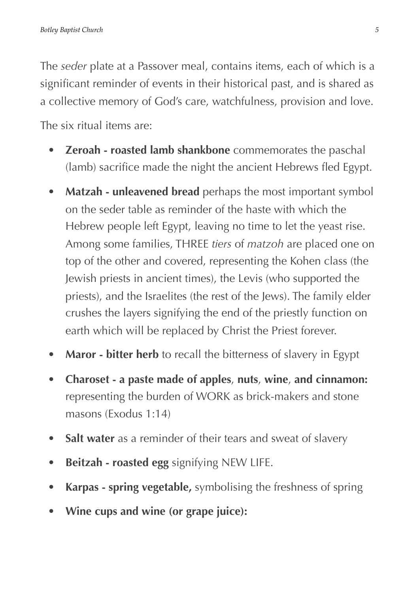The *seder* plate at a Passover meal, contains items, each of which is a significant reminder of events in their historical past, and is shared as a collective memory of God's care, watchfulness, provision and love. The six ritual items are:

- **Zeroah roasted lamb shankbone** commemorates the paschal (lamb) sacrifice made the night the ancient Hebrews fled Egypt.
- **Matzah unleavened bread** perhaps the most important symbol on the seder table as reminder of the haste with which the Hebrew people left Egypt, leaving no time to let the yeast rise. Among some families, THREE *tiers* of *matzoh* are placed one on top of the other and covered, representing the Kohen class (the Jewish priests in ancient times), the Levis (who supported the priests), and the Israelites (the rest of the Jews). The family elder crushes the layers signifying the end of the priestly function on earth which will be replaced by Christ the Priest forever.
- **Maror bitter herb** to recall the bitterness of slavery in Egypt
- **Charoset a paste made of apples**, **nuts**, **wine**, **and cinnamon:**  representing the burden of WORK as brick-makers and stone masons (Exodus 1:14)
- Salt water as a reminder of their tears and sweat of slavery
- **Beitzah roasted egg** signifying NEW LIFE.
- **Karpas spring vegetable,** symbolising the freshness of spring
- **Wine cups and wine (or grape juice):**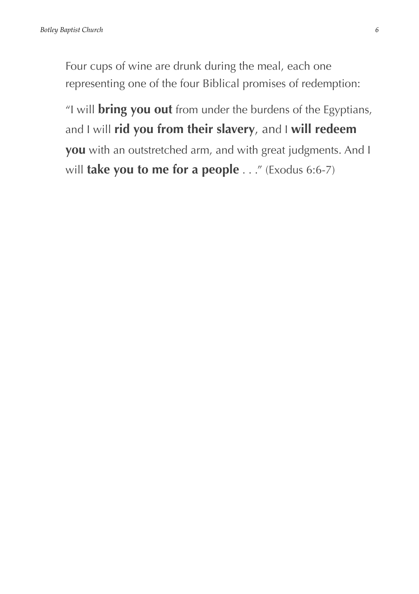Four cups of wine are drunk during the meal, each one representing one of the four Biblical promises of redemption:

 "I will **bring you out** from under the burdens of the Egyptians, and I will **rid you from their slavery**, and I **will redeem you** with an outstretched arm, and with great judgments. And I will **take you to me for a people** . . ." (Exodus 6:6-7)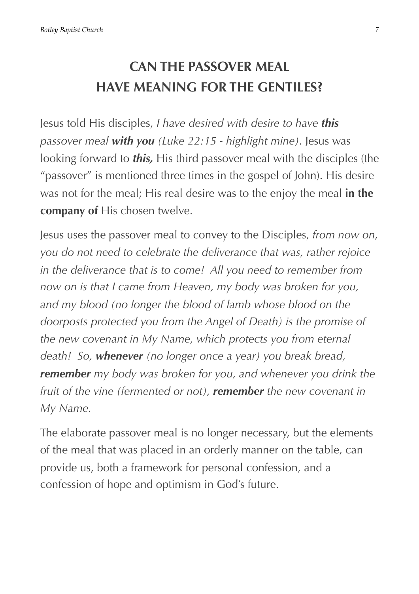# **CAN THE PASSOVER MEAL HAVE MEANING FOR THE GENTILES?**

Jesus told His disciples, *I have desired with desire to have this passover meal with you (Luke 22:15 - highlight mine)*. Jesus was looking forward to *this,* His third passover meal with the disciples (the "passover" is mentioned three times in the gospel of John). His desire was not for the meal; His real desire was to the enjoy the meal **in the company of** His chosen twelve.

Jesus uses the passover meal to convey to the Disciples, *from now on, you do not need to celebrate the deliverance that was, rather rejoice in the deliverance that is to come! All you need to remember from now on is that I came from Heaven, my body was broken for you, and my blood (no longer the blood of lamb whose blood on the doorposts protected you from the Angel of Death) is the promise of the new covenant in My Name, which protects you from eternal death! So, whenever (no longer once a year) you break bread, remember my body was broken for you, and whenever you drink the fruit of the vine (fermented or not), remember the new covenant in My Name.*

The elaborate passover meal is no longer necessary, but the elements of the meal that was placed in an orderly manner on the table, can provide us, both a framework for personal confession, and a confession of hope and optimism in God's future.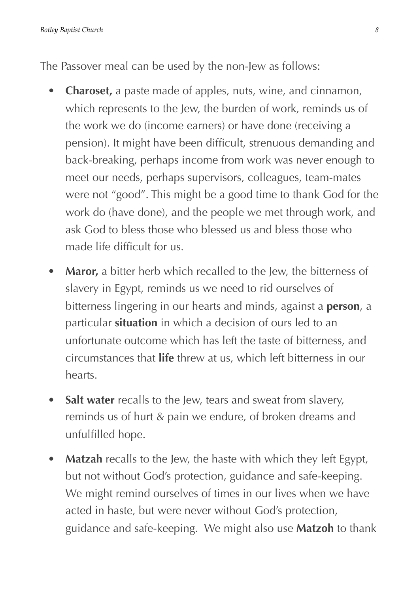The Passover meal can be used by the non-Jew as follows:

- **Charoset,** a paste made of apples, nuts, wine, and cinnamon, which represents to the Jew, the burden of work, reminds us of the work we do (income earners) or have done (receiving a pension). It might have been difficult, strenuous demanding and back-breaking, perhaps income from work was never enough to meet our needs, perhaps supervisors, colleagues, team-mates were not "good". This might be a good time to thank God for the work do (have done), and the people we met through work, and ask God to bless those who blessed us and bless those who made life difficult for us.
- Maror, a bitter herb which recalled to the Jew, the bitterness of slavery in Egypt, reminds us we need to rid ourselves of bitterness lingering in our hearts and minds, against a **person**, a particular **situation** in which a decision of ours led to an unfortunate outcome which has left the taste of bitterness, and circumstances that **life** threw at us, which left bitterness in our hearts.
- **Salt water** recalls to the Jew, tears and sweat from slavery, reminds us of hurt & pain we endure, of broken dreams and unfulfilled hope.
- **Matzah** recalls to the Jew, the haste with which they left Egypt, but not without God's protection, guidance and safe-keeping. We might remind ourselves of times in our lives when we have acted in haste, but were never without God's protection, guidance and safe-keeping. We might also use **Matzoh** to thank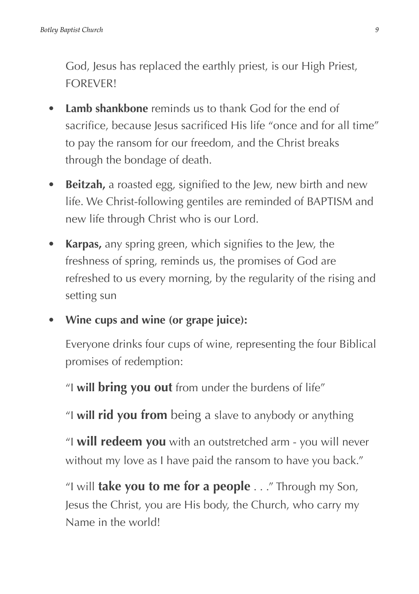God, Jesus has replaced the earthly priest, is our High Priest, FOREVER!

- **Lamb shankbone** reminds us to thank God for the end of sacrifice, because Jesus sacrificed His life "once and for all time" to pay the ransom for our freedom, and the Christ breaks through the bondage of death.
- **Beitzah,** a roasted egg, signified to the Jew, new birth and new life. We Christ-following gentiles are reminded of BAPTISM and new life through Christ who is our Lord.
- **Karpas,** any spring green, which signifies to the Jew, the freshness of spring, reminds us, the promises of God are refreshed to us every morning, by the regularity of the rising and setting sun
- **Wine cups and wine (or grape juice):**

Everyone drinks four cups of wine, representing the four Biblical promises of redemption:

"I **will bring you out** from under the burdens of life"

"I **will rid you from** being a slave to anybody or anything

 "I **will redeem you** with an outstretched arm - you will never without my love as I have paid the ransom to have you back."

 "I will **take you to me for a people** . . ." Through my Son, Jesus the Christ, you are His body, the Church, who carry my Name in the world!